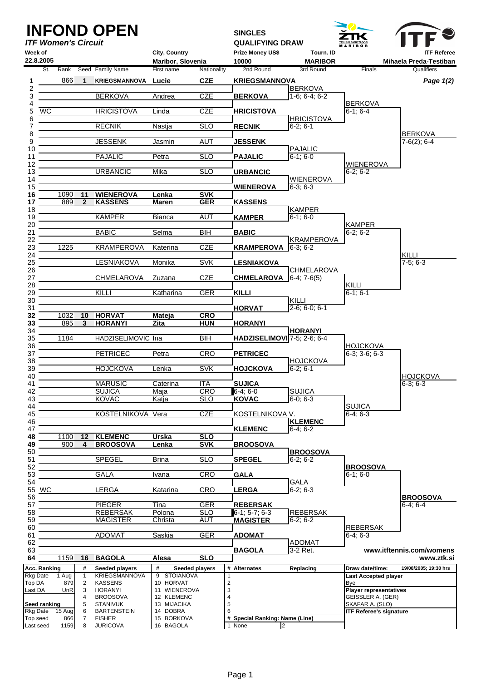| Week of           |                  | <b>ITF Women's Circuit</b> |                     | <b>INFOND OPEN</b>                     | City, Country                   |                          | <b>SINGLES</b><br><b>QUALIFYING DRAW</b><br>Prize Money US\$<br>Tourn. ID |                                       | <b>TENIŠKI PARK TABOR</b><br><b>M A R I B O R</b> | <b>ITF Referee</b>                   |
|-------------------|------------------|----------------------------|---------------------|----------------------------------------|---------------------------------|--------------------------|---------------------------------------------------------------------------|---------------------------------------|---------------------------------------------------|--------------------------------------|
|                   | 22.8.2005<br>St. | Rank                       |                     | Seed Family Name                       | Maribor, Slovenia<br>First name | Nationality              | 10000<br>2nd Round                                                        | MARIBOR<br>3rd Round                  | Finals                                            | Mihaela Preda-Testiban<br>Qualifiers |
| 1                 |                  | 866                        |                     | <b>KRIEGSMANNOVA Lucie</b>             |                                 | <b>CZE</b>               | <b>KRIEGSMANNOVA</b>                                                      |                                       |                                                   | Page 1(2)                            |
| 2<br>3            |                  |                            |                     | <b>BERKOVA</b>                         | Andrea                          | <b>CZE</b>               | <b>BERKOVA</b>                                                            | <b>BERKOVA</b><br>$1-6; 6-4; 6-2$     | <b>BERKOVA</b>                                    |                                      |
| 4<br>5            | WC               |                            |                     | <b>HRICISTOVA</b>                      | Linda                           | <b>CZE</b>               | <b>HRICISTOVA</b>                                                         |                                       | $6-1; 6-4$                                        |                                      |
| 6<br>7<br>8       |                  |                            |                     | <b>RECNIK</b>                          | Nastja                          | <b>SLO</b>               | <b>RECNIK</b>                                                             | <b>HRICISTOVA</b><br>$6-2; 6-1$       |                                                   | <b>BERKOVA</b>                       |
| 9<br>10           |                  |                            |                     | <b>JESSENK</b>                         | Jasmin                          | <b>AUT</b>               | <b>JESSENK</b>                                                            | <b>PAJALIC</b>                        |                                                   | $7-6(2)$ ; 6-4                       |
| 11<br>12          |                  |                            |                     | <b>PAJALIC</b>                         | Petra                           | $\overline{SLO}$         | <b>PAJALIC</b>                                                            | $6-1; 6-0$                            | <b>WIENEROVA</b>                                  |                                      |
| 13<br>14          |                  |                            |                     | <b>URBANCIC</b>                        | Mika                            | <b>SLO</b>               | <b>URBANCIC</b>                                                           | <b>WIENEROVA</b>                      | $6-2; 6-2$                                        |                                      |
| 15<br>16          |                  | 1090                       | 11                  | <b>WIENEROVA</b>                       | Lenka                           | <b>SVK</b>               | WIENEROVA                                                                 | $6-3:6-3$                             |                                                   |                                      |
| 17<br>18          |                  | 889                        | $\mathbf{2}$        | <b>KASSENS</b>                         | <b>Maren</b>                    | <b>GER</b>               | <b>KASSENS</b>                                                            | <b>KAMPER</b>                         |                                                   |                                      |
| 19<br>20          |                  |                            |                     | <b>KAMPER</b>                          | Bianca                          | <b>AUT</b>               | KAMPER                                                                    | $6-1; 6-0$                            | <b>KAMPER</b>                                     |                                      |
| 21<br>22          |                  |                            |                     | <b>BABIC</b>                           | Selma                           | $\overline{\mathsf{B}}$  | <b>BABIC</b>                                                              | <b>KRAMPEROVA</b>                     | $6-2; 6-2$                                        |                                      |
| 23<br>24          |                  | 1225                       |                     | <b>KRAMPEROVA</b>                      | Katerina                        | <b>CZE</b>               | KRAMPEROVA 6-3; 6-2                                                       |                                       |                                                   | KILLI                                |
| 25<br>26          |                  |                            |                     | LESNIAKOVA                             | Monika                          | <b>SVK</b>               | <b>LESNIAKOVA</b>                                                         |                                       |                                                   | $7-5; 6-3$                           |
| 27<br>28          |                  |                            |                     | <b>CHMELAROVA</b>                      | Zuzana                          | <b>CZE</b>               | <b>CHMELAROVA</b>                                                         | <b>CHMELAROVA</b><br>$6-4$ ; $7-6(5)$ | KILLI                                             |                                      |
| 29                |                  |                            |                     | KILLI                                  | Katharina                       | <b>GER</b>               | <b>KILLI</b>                                                              |                                       | $6 - 1$ ; $6 - 1$                                 |                                      |
| 30<br>31          |                  |                            |                     |                                        |                                 |                          | <b>HORVAT</b>                                                             | KILLI<br>$2-6$ ; 6-0; 6-1             |                                                   |                                      |
| 32<br>33          |                  | 1032<br>895                | 10<br>3             | <b>HORVAT</b><br><b>HORANYI</b>        | <b>Mateja</b><br>Zita           | <b>CRO</b><br><b>HUN</b> | <b>HORANYI</b>                                                            |                                       |                                                   |                                      |
| 34<br>35          |                  | 1184                       |                     | HADZISELIMOVIC Ina                     |                                 | ВĪН                      | HADZISELIMOVI <sup>7-5;</sup> 2-6; 6-4                                    | <b>HORANYI</b>                        |                                                   |                                      |
| 36<br>37          |                  |                            |                     | <b>PETRICEC</b>                        | Petra                           | <b>CRO</b>               | <b>PETRICEC</b>                                                           |                                       | <b>HOJCKOVA</b><br>$6-3$ ; $3-6$ ; $6-3$          |                                      |
| 38<br>39          |                  |                            |                     | <b>HOJCKOVA</b>                        | Lenka                           | <b>SVK</b>               | <b>HOJCKOVA</b>                                                           | <b>HOJCKOVA</b><br>$6-2; 6-1$         |                                                   |                                      |
| 40<br>41          |                  |                            |                     | <b>MARUSIC</b>                         | Caterina                        | ITA                      | <b>SUJICA</b>                                                             |                                       |                                                   | <b>HOJCKOVA</b><br>$6-3; 6-3$        |
| 42<br>43          |                  |                            |                     | <b>SUJICA</b><br><b>KOVAC</b>          | Maja<br>Katja                   | <b>CRO</b><br><b>SLO</b> | 6-4; 6-0<br><b>KOVAC</b>                                                  | <b>SUJICA</b><br>$6-0; 6-3$           |                                                   |                                      |
| 44<br>45          |                  |                            |                     | KOSTELNIKOVA Vera                      |                                 | <b>CZE</b>               | KOSTELNIKOVA V.                                                           |                                       | <b>SUJICA</b><br>$6-4; 6-3$                       |                                      |
| 46<br>47          |                  |                            |                     |                                        |                                 |                          | <b>KLEMENC</b>                                                            | <b>KLEMENC</b><br>$6-4; 6-2$          |                                                   |                                      |
| 48<br>49          |                  | 1100<br>900                | 12<br>4             | <b>KLEMENC</b><br><b>BROOSOVA</b>      | <b>Urska</b><br><b>Lenka</b>    | <b>SLO</b><br><b>SVK</b> | <b>BROOSOVA</b>                                                           |                                       |                                                   |                                      |
| 50<br>51          |                  |                            |                     | <b>SPEGEL</b>                          | <b>Brina</b>                    | <b>SLO</b>               | <b>SPEGEL</b>                                                             | <b>BROOSOVA</b><br>$6-2; 6-2$         |                                                   |                                      |
| 52<br>53          |                  |                            |                     | <b>GALA</b>                            | Ivana                           | <b>CRO</b>               | <b>GALA</b>                                                               |                                       | <b>BROOSOVA</b><br>$6-1; 6-0$                     |                                      |
| 54                | 55 WC            |                            |                     | LERGA                                  | Katarina                        | <b>CRO</b>               | <b>LERGA</b>                                                              | <b>GALA</b><br>$6-2; 6-3$             |                                                   |                                      |
| 56<br>57          |                  |                            |                     | <b>PIEGER</b>                          | Tina                            | <b>GER</b>               | <b>REBERSAK</b>                                                           |                                       |                                                   | <b>BROOSOVA</b><br>$6-4; 6-4$        |
| 58<br>59          |                  |                            |                     | <b>REBERSAK</b><br><b>MAGISTER</b>     | Polona<br>Christa               | <b>SLO</b><br><b>AUT</b> | $6-1$ ; 5-7; 6-3<br><b>MAGISTER</b>                                       | <b>REBERSAK</b><br>$6-2; 6-2$         |                                                   |                                      |
| 60<br>61          |                  |                            |                     | <b>ADOMAT</b>                          | Saskia                          | GER                      | <b>ADOMAT</b>                                                             |                                       | <b>REBERSAK</b><br>$6-4; 6-3$                     |                                      |
| 62<br>63          |                  |                            |                     |                                        |                                 |                          | <b>BAGOLA</b>                                                             | <b>ADOMAT</b><br>3-2 Ret.             |                                                   | www.itftennis.com/womens             |
| 64                |                  | 1159                       | 16                  | <b>BAGOLA</b>                          | Alesa                           | <b>SLO</b>               |                                                                           |                                       |                                                   | www.ztk.si                           |
| <b>Rkg Date</b>   | Acc. Ranking     | 1 Aug                      | #<br>$\mathbf{1}$   | Seeded players<br><b>KRIEGSMANNOVA</b> | #<br>9 STOIANOVA                | Seeded players           | # Alternates                                                              | Replacing                             | Draw date/time:<br><b>Last Accepted player</b>    | 19/08/2005; 19:30 hrs                |
| Top DA<br>Last DA |                  | 879<br>UnR                 | $\overline{c}$<br>3 | <b>KASSENS</b><br><b>HORANYI</b>       | 10 HORVAT<br>11 WIENEROVA       |                          | $\overline{\mathbf{c}}$<br>3                                              |                                       | Bye<br><b>Player representatives</b>              |                                      |
|                   | Seed ranking     |                            | $\overline{4}$<br>5 | <b>BROOSOVA</b><br><b>STANIVUK</b>     | 12 KLEMENC<br>13 MIJACIKA       |                          | 4<br>5                                                                    |                                       | GEISSLER A. (GER)<br>SKAFAR A. (SLO)              |                                      |
|                   | Rkg Date         | 15 Aug                     | 6                   | <b>BARTENSTEIN</b>                     | 14 DOBRA                        |                          | 6                                                                         |                                       | <b>ITF Referee's signature</b>                    |                                      |
| Last seed         | Top seed         | 866<br>1159                | 7<br>8              | <b>FISHER</b><br><b>JURICOVA</b>       | 15 BORKOVA<br>16 BAGOLA         |                          | # Special Ranking: Name (Line)<br>None                                    | $\overline{2}$                        |                                                   |                                      |